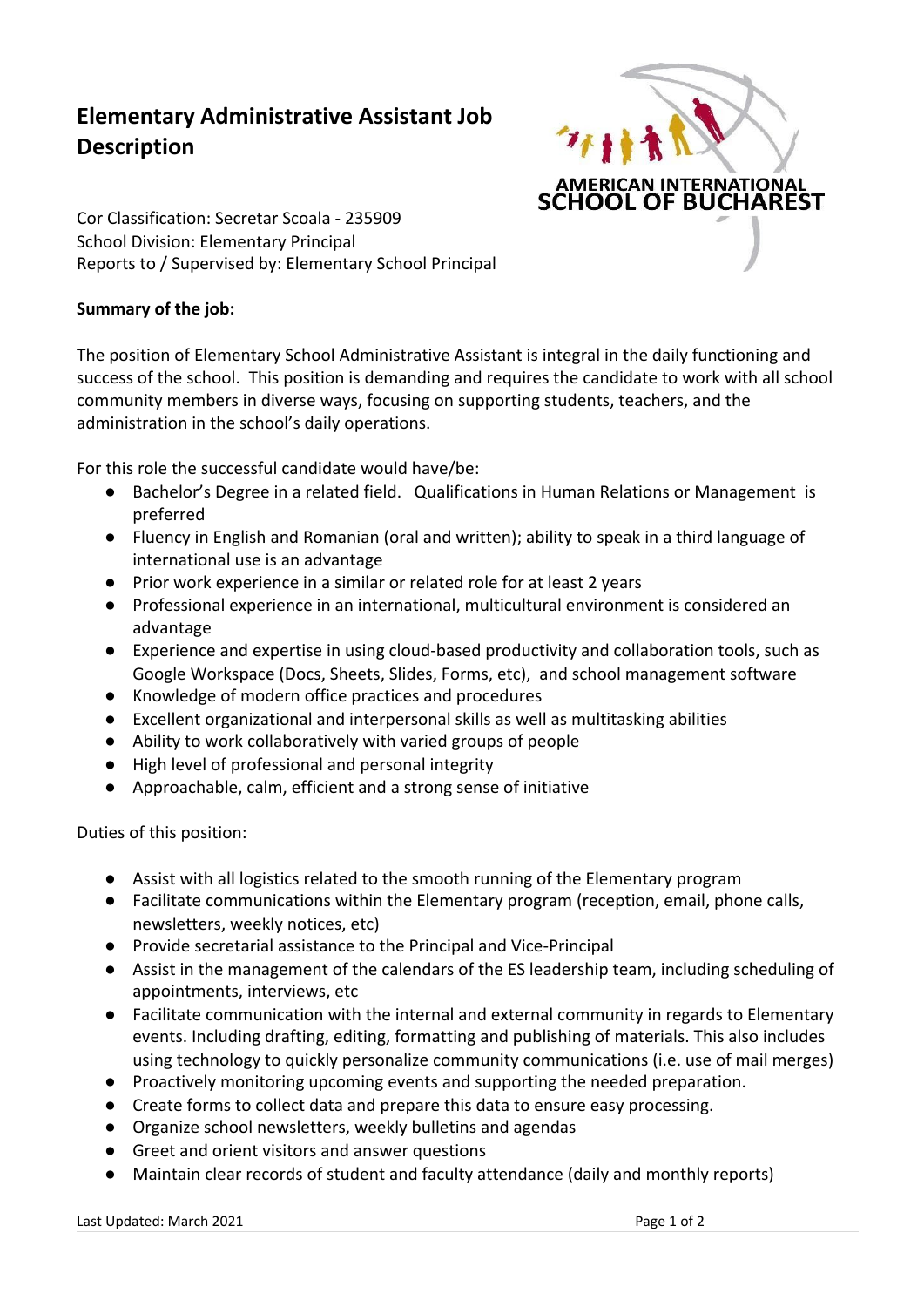## **Elementary Administrative Assistant Job Description**



Cor Classification: Secretar Scoala - 235909 School Division: Elementary Principal Reports to / Supervised by: Elementary School Principal

## **Summary of the job:**

The position of Elementary School Administrative Assistant is integral in the daily functioning and success of the school. This position is demanding and requires the candidate to work with all school community members in diverse ways, focusing on supporting students, teachers, and the administration in the school's daily operations.

For this role the successful candidate would have/be:

- Bachelor's Degree in a related field. Qualifications in Human Relations or Management is preferred
- Fluency in English and Romanian (oral and written); ability to speak in a third language of international use is an advantage
- Prior work experience in a similar or related role for at least 2 years
- Professional experience in an international, multicultural environment is considered an advantage
- Experience and expertise in using cloud-based productivity and collaboration tools, such as Google Workspace (Docs, Sheets, Slides, Forms, etc), and school management software
- Knowledge of modern office practices and procedures
- Excellent organizational and interpersonal skills as well as multitasking abilities
- Ability to work collaboratively with varied groups of people
- High level of professional and personal integrity
- Approachable, calm, efficient and a strong sense of initiative

Duties of this position:

- Assist with all logistics related to the smooth running of the Elementary program
- Facilitate communications within the Elementary program (reception, email, phone calls, newsletters, weekly notices, etc)
- Provide secretarial assistance to the Principal and Vice-Principal
- Assist in the management of the calendars of the ES leadership team, including scheduling of appointments, interviews, etc
- Facilitate communication with the internal and external community in regards to Elementary events. Including drafting, editing, formatting and publishing of materials. This also includes using technology to quickly personalize community communications (i.e. use of mail merges)
- Proactively monitoring upcoming events and supporting the needed preparation.
- Create forms to collect data and prepare this data to ensure easy processing.
- Organize school newsletters, weekly bulletins and agendas
- Greet and orient visitors and answer questions
- Maintain clear records of student and faculty attendance (daily and monthly reports)